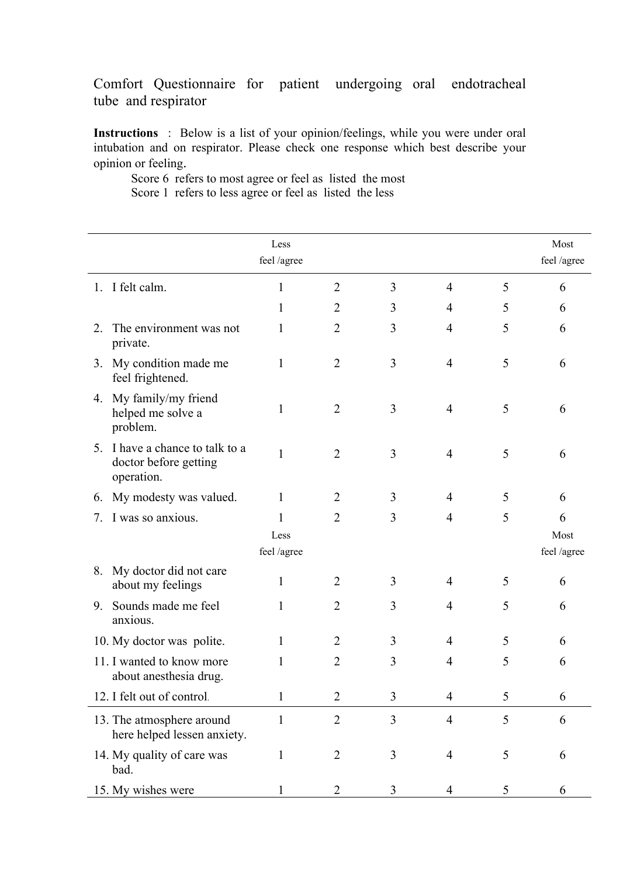## Comfort Questionnaire for patient undergoing oral endotracheal tube and respirator

**Instructions** : Below is a list of your opinion/feelings, while you were under oral intubation and on respirator. Please check one response which best describe your opinion or feeling.

Score 6 refers to most agree or feel as listed the most Score 1 refers to less agree or feel as listed the less

|    |                                                                        | Less<br>feel /agree |                |   |                |   | Most<br>feel /agree |
|----|------------------------------------------------------------------------|---------------------|----------------|---|----------------|---|---------------------|
|    | 1. I felt calm.                                                        | 1                   | $\overline{2}$ | 3 | $\overline{4}$ | 5 | 6                   |
|    |                                                                        | 1                   | 2              | 3 | 4              | 5 | 6                   |
| 2. | The environment was not<br>private.                                    | 1                   | $\overline{2}$ | 3 | $\overline{4}$ | 5 | 6                   |
| 3. | My condition made me<br>feel frightened.                               | 1                   | $\overline{2}$ | 3 | $\overline{4}$ | 5 | 6                   |
|    | 4. My family/my friend<br>helped me solve a<br>problem.                | 1                   | $\overline{2}$ | 3 | $\overline{4}$ | 5 | 6                   |
|    | 5. I have a chance to talk to a<br>doctor before getting<br>operation. | $\mathbf{1}$        | $\overline{2}$ | 3 | $\overline{4}$ | 5 | 6                   |
| 6. | My modesty was valued.                                                 | $\mathbf{1}$        | 2              | 3 | 4              | 5 | 6                   |
| 7. | I was so anxious.                                                      | 1                   | $\overline{2}$ | 3 | $\overline{4}$ | 5 | 6                   |
|    |                                                                        | Less<br>feel /agree |                |   |                |   | Most<br>feel /agree |
| 8. | My doctor did not care<br>about my feelings                            | $\mathbf{1}$        | $\overline{2}$ | 3 | 4              | 5 | 6                   |
|    | 9. Sounds made me feel<br>anxious.                                     | 1                   | $\overline{2}$ | 3 | $\overline{4}$ | 5 | 6                   |
|    | 10. My doctor was polite.                                              | $\mathbf{1}$        | $\overline{2}$ | 3 | $\overline{4}$ | 5 | 6                   |
|    | 11. I wanted to know more<br>about anesthesia drug.                    | 1                   | $\overline{2}$ | 3 | $\overline{4}$ | 5 | 6                   |
|    | 12. I felt out of control.                                             | $\mathbf{1}$        | 2              | 3 | Δ              | 5 | 6                   |
|    | 13. The atmosphere around<br>here helped lessen anxiety.               | 1                   | $\overline{2}$ | 3 | $\overline{4}$ | 5 | 6                   |
|    | 14. My quality of care was<br>bad.                                     | 1                   | $\overline{2}$ | 3 | $\overline{4}$ | 5 | 6                   |
|    | 15. My wishes were                                                     | 1                   | 2              | 3 | $\overline{4}$ | 5 | 6                   |